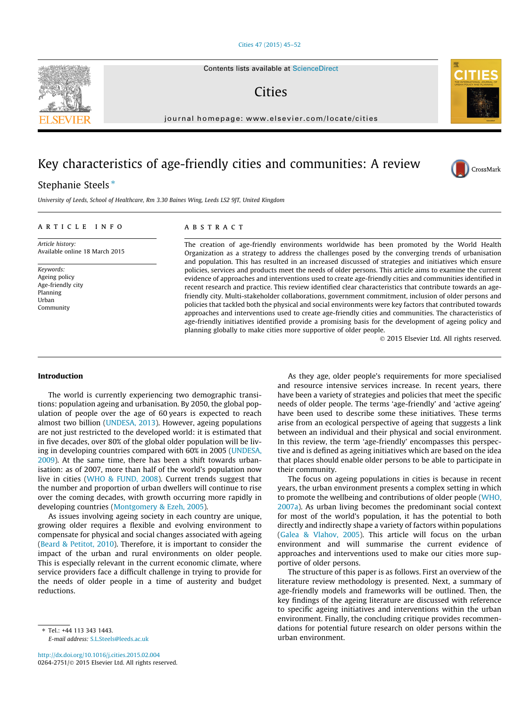### [Cities 47 \(2015\) 45–52](http://dx.doi.org/10.1016/j.cities.2015.02.004)

Contents lists available at [ScienceDirect](http://www.sciencedirect.com/science/journal/02642751)

# **Cities**

journal homepage: [www.elsevier.com/locate/cities](http://www.elsevier.com/locate/cities)

# Key characteristics of age-friendly cities and communities: A review

# Stephanie Steels<sup>\*</sup>

University of Leeds, School of Healthcare, Rm 3.30 Baines Wing, Leeds LS2 9JT, United Kingdom

### article info

Article history: Available online 18 March 2015

Keywords: Ageing policy Age-friendly city Planning Urban Community

## ABSTRACT

The creation of age-friendly environments worldwide has been promoted by the World Health Organization as a strategy to address the challenges posed by the converging trends of urbanisation and population. This has resulted in an increased discussed of strategies and initiatives which ensure policies, services and products meet the needs of older persons. This article aims to examine the current evidence of approaches and interventions used to create age-friendly cities and communities identified in recent research and practice. This review identified clear characteristics that contribute towards an agefriendly city. Multi-stakeholder collaborations, government commitment, inclusion of older persons and policies that tackled both the physical and social environments were key factors that contributed towards approaches and interventions used to create age-friendly cities and communities. The characteristics of age-friendly initiatives identified provide a promising basis for the development of ageing policy and planning globally to make cities more supportive of older people.

- 2015 Elsevier Ltd. All rights reserved.

#### Introduction

The world is currently experiencing two demographic transitions: population ageing and urbanisation. By 2050, the global population of people over the age of 60 years is expected to reach almost two billion ([UNDESA, 2013\)](#page-7-0). However, ageing populations are not just restricted to the developed world: it is estimated that in five decades, over 80% of the global older population will be living in developing countries compared with 60% in 2005 ([UNDESA,](#page-7-0) [2009](#page-7-0)). At the same time, there has been a shift towards urbanisation: as of 2007, more than half of the world's population now live in cities [\(WHO & FUND, 2008](#page-7-0)). Current trends suggest that the number and proportion of urban dwellers will continue to rise over the coming decades, with growth occurring more rapidly in developing countries ([Montgomery & Ezeh, 2005\)](#page-7-0).

As issues involving ageing society in each country are unique, growing older requires a flexible and evolving environment to compensate for physical and social changes associated with ageing ([Beard & Petitot, 2010\)](#page-6-0). Therefore, it is important to consider the impact of the urban and rural environments on older people. This is especially relevant in the current economic climate, where service providers face a difficult challenge in trying to provide for the needs of older people in a time of austerity and budget reductions.

As they age, older people's requirements for more specialised and resource intensive services increase. In recent years, there have been a variety of strategies and policies that meet the specific needs of older people. The terms 'age-friendly' and 'active ageing' have been used to describe some these initiatives. These terms arise from an ecological perspective of ageing that suggests a link between an individual and their physical and social environment. In this review, the term 'age-friendly' encompasses this perspective and is defined as ageing initiatives which are based on the idea that places should enable older persons to be able to participate in their community.

The focus on ageing populations in cities is because in recent years, the urban environment presents a complex setting in which to promote the wellbeing and contributions of older people [\(WHO,](#page-7-0) [2007a\)](#page-7-0). As urban living becomes the predominant social context for most of the world's population, it has the potential to both directly and indirectly shape a variety of factors within populations ([Galea & Vlahov, 2005\)](#page-6-0). This article will focus on the urban environment and will summarise the current evidence of approaches and interventions used to make our cities more supportive of older persons.

The structure of this paper is as follows. First an overview of the literature review methodology is presented. Next, a summary of age-friendly models and frameworks will be outlined. Then, the key findings of the ageing literature are discussed with reference to specific ageing initiatives and interventions within the urban environment. Finally, the concluding critique provides recommendations for potential future research on older persons within the urban environment.





CrossMark

<sup>⇑</sup> Tel.: +44 113 343 1443. E-mail address: [S.L.Steels@leeds.ac.uk](mailto:S.L.Steels@leeds.ac.uk)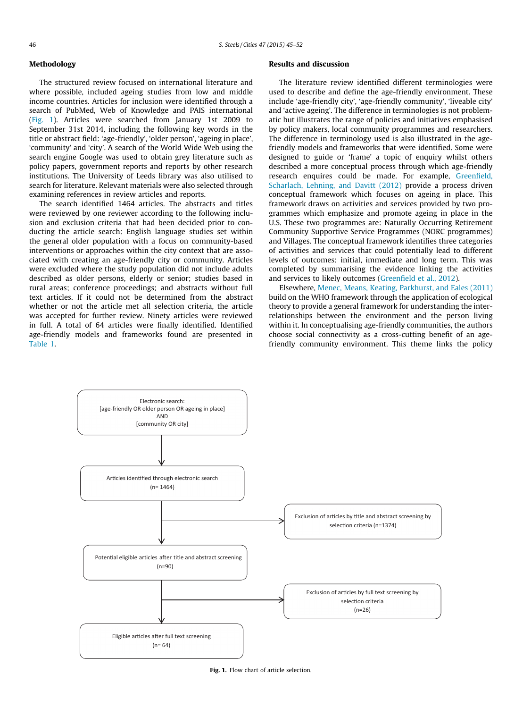# Methodology

The structured review focused on international literature and where possible, included ageing studies from low and middle income countries. Articles for inclusion were identified through a search of PubMed, Web of Knowledge and PAIS international (Fig. 1). Articles were searched from January 1st 2009 to September 31st 2014, including the following key words in the title or abstract field: 'age-friendly', 'older person', 'ageing in place', 'community' and 'city'. A search of the World Wide Web using the search engine Google was used to obtain grey literature such as policy papers, government reports and reports by other research institutions. The University of Leeds library was also utilised to search for literature. Relevant materials were also selected through examining references in review articles and reports.

The search identified 1464 articles. The abstracts and titles were reviewed by one reviewer according to the following inclusion and exclusion criteria that had been decided prior to conducting the article search: English language studies set within the general older population with a focus on community-based interventions or approaches within the city context that are associated with creating an age-friendly city or community. Articles were excluded where the study population did not include adults described as older persons, elderly or senior; studies based in rural areas; conference proceedings; and abstracts without full text articles. If it could not be determined from the abstract whether or not the article met all selection criteria, the article was accepted for further review. Ninety articles were reviewed in full. A total of 64 articles were finally identified. Identified age-friendly models and frameworks found are presented in [Table 1](#page-2-0).

#### Results and discussion

The literature review identified different terminologies were used to describe and define the age-friendly environment. These include 'age-friendly city', 'age-friendly community', 'liveable city' and 'active ageing'. The difference in terminologies is not problematic but illustrates the range of policies and initiatives emphasised by policy makers, local community programmes and researchers. The difference in terminology used is also illustrated in the agefriendly models and frameworks that were identified. Some were designed to guide or 'frame' a topic of enquiry whilst others described a more conceptual process through which age-friendly research enquires could be made. For example, [Greenfield,](#page-6-0) [Scharlach, Lehning, and Davitt \(2012\)](#page-6-0) provide a process driven conceptual framework which focuses on ageing in place. This framework draws on activities and services provided by two programmes which emphasize and promote ageing in place in the U.S. These two programmes are: Naturally Occurring Retirement Community Supportive Service Programmes (NORC programmes) and Villages. The conceptual framework identifies three categories of activities and services that could potentially lead to different levels of outcomes: initial, immediate and long term. This was completed by summarising the evidence linking the activities and services to likely outcomes ([Greenfield et al., 2012\)](#page-6-0).

Elsewhere, [Menec, Means, Keating, Parkhurst, and Eales \(2011\)](#page-6-0) build on the WHO framework through the application of ecological theory to provide a general framework for understanding the interrelationships between the environment and the person living within it. In conceptualising age-friendly communities, the authors choose social connectivity as a cross-cutting benefit of an agefriendly community environment. This theme links the policy



Fig. 1. Flow chart of article selection.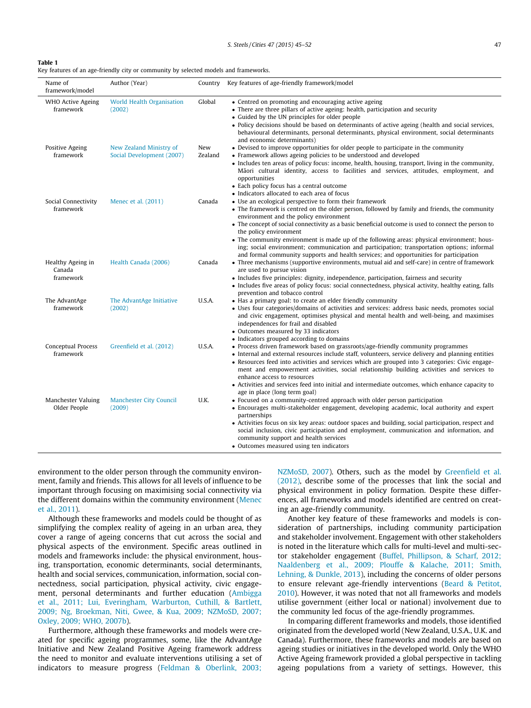#### <span id="page-2-0"></span>Table 1

Key features of an age-friendly city or community by selected models and frameworks.

| Name of<br>framework/model               | Author (Year)                                        | Country        | Key features of age-friendly framework/model                                                                                                                                                                                                                                                                                                                                                                                                                                                                                                                                                                              |
|------------------------------------------|------------------------------------------------------|----------------|---------------------------------------------------------------------------------------------------------------------------------------------------------------------------------------------------------------------------------------------------------------------------------------------------------------------------------------------------------------------------------------------------------------------------------------------------------------------------------------------------------------------------------------------------------------------------------------------------------------------------|
| <b>WHO Active Ageing</b><br>framework    | World Health Organisation<br>(2002)                  | Global         | • Centred on promoting and encouraging active ageing<br>• There are three pillars of active ageing: health, participation and security<br>• Guided by the UN principles for older people<br>• Policy decisions should be based on determinants of active ageing (health and social services,<br>behavioural determinants, personal determinants, physical environment, social determinants<br>and economic determinants)                                                                                                                                                                                                  |
| Positive Ageing<br>framework             | New Zealand Ministry of<br>Social Development (2007) | New<br>Zealand | • Devised to improve opportunities for older people to participate in the community<br>• Framework allows ageing policies to be understood and developed<br>• Includes ten areas of policy focus: income, health, housing, transport, living in the community,<br>Māori cultural identity, access to facilities and services, attitudes, employment, and<br>opportunities<br>• Each policy focus has a central outcome<br>• Indicators allocated to each area of focus                                                                                                                                                    |
| Social Connectivity<br>framework         | Menec et al. (2011)                                  | Canada         | • Use an ecological perspective to form their framework<br>• The framework is centred on the older person, followed by family and friends, the community<br>environment and the policy environment<br>• The concept of social connectivity as a basic beneficial outcome is used to connect the person to<br>the policy environment<br>• The community environment is made up of the following areas: physical environment; hous-<br>ing; social environment; communication and participation; transportation options; informal<br>and formal community supports and health services; and opportunities for participation |
| Healthy Ageing in<br>Canada<br>framework | Health Canada (2006)                                 | Canada         | • Three mechanisms (supportive environments, mutual aid and self-care) in centre of framework<br>are used to pursue vision<br>• Includes five principles: dignity, independence, participation, fairness and security<br>• Includes five areas of policy focus: social connectedness, physical activity, healthy eating, falls<br>prevention and tobacco control                                                                                                                                                                                                                                                          |
| The AdvantAge<br>framework               | The AdvantAge Initiative<br>(2002)                   | U.S.A.         | • Has a primary goal: to create an elder friendly community<br>• Uses four categories/domains of activities and services: address basic needs, promotes social<br>and civic engagement, optimises physical and mental health and well-being, and maximises<br>independences for frail and disabled<br>• Outcomes measured by 33 indicators<br>• Indicators grouped according to domains                                                                                                                                                                                                                                   |
| <b>Conceptual Process</b><br>framework   | Greenfield et al. (2012)                             | U.S.A.         | • Process driven framework based on grassroots/age-friendly community programmes<br>• Internal and external resources include staff, volunteers, service delivery and planning entities<br>• Resources feed into activities and services which are grouped into 3 categories: Civic engage-<br>ment and empowerment activities, social relationship building activities and services to<br>enhance access to resources<br>• Activities and services feed into initial and intermediate outcomes, which enhance capacity to                                                                                                |
| Manchester Valuing<br>Older People       | <b>Manchester City Council</b><br>(2009)             | U.K.           | age in place (long term goal)<br>• Focused on a community-centred approach with older person participation<br>• Encourages multi-stakeholder engagement, developing academic, local authority and expert<br>partnerships<br>• Activities focus on six key areas: outdoor spaces and building, social participation, respect and<br>social inclusion, civic participation and employment, communication and information, and<br>community support and health services<br>• Outcomes measured using ten indicators                                                                                                          |

environment to the older person through the community environment, family and friends. This allows for all levels of influence to be important through focusing on maximising social connectivity via the different domains within the community environment ([Menec](#page-6-0) [et al., 2011\)](#page-6-0).

Although these frameworks and models could be thought of as simplifying the complex reality of ageing in an urban area, they cover a range of ageing concerns that cut across the social and physical aspects of the environment. Specific areas outlined in models and frameworks include: the physical environment, housing, transportation, economic determinants, social determinants, health and social services, communication, information, social connectedness, social participation, physical activity, civic engagement, personal determinants and further education [\(Ambigga](#page-6-0) [et al., 2011; Lui, Everingham, Warburton, Cuthill, & Bartlett,](#page-6-0) [2009; Ng, Broekman, Niti, Gwee, & Kua, 2009; NZMoSD, 2007;](#page-6-0) [Oxley, 2009; WHO, 2007b\)](#page-6-0).

Furthermore, although these frameworks and models were created for specific ageing programmes, some, like the AdvantAge Initiative and New Zealand Positive Ageing framework address the need to monitor and evaluate interventions utilising a set of indicators to measure progress [\(Feldman & Oberlink, 2003;](#page-6-0)

[NZMoSD, 2007](#page-6-0)). Others, such as the model by [Greenfield et al.](#page-6-0) [\(2012\),](#page-6-0) describe some of the processes that link the social and physical environment in policy formation. Despite these differences, all frameworks and models identified are centred on creating an age-friendly community.

Another key feature of these frameworks and models is consideration of partnerships, including community participation and stakeholder involvement. Engagement with other stakeholders is noted in the literature which calls for multi-level and multi-sector stakeholder engagement [\(Buffel, Phillipson, & Scharf, 2012;](#page-6-0) [Naaldenberg et al., 2009; Plouffe & Kalache, 2011; Smith,](#page-6-0) [Lehning, & Dunkle, 2013\)](#page-6-0), including the concerns of older persons to ensure relevant age-friendly interventions ([Beard & Petitot,](#page-6-0) [2010](#page-6-0)). However, it was noted that not all frameworks and models utilise government (either local or national) involvement due to the community led focus of the age-friendly programmes.

In comparing different frameworks and models, those identified originated from the developed world (New Zealand, U.S.A., U.K. and Canada). Furthermore, these frameworks and models are based on ageing studies or initiatives in the developed world. Only the WHO Active Ageing framework provided a global perspective in tackling ageing populations from a variety of settings. However, this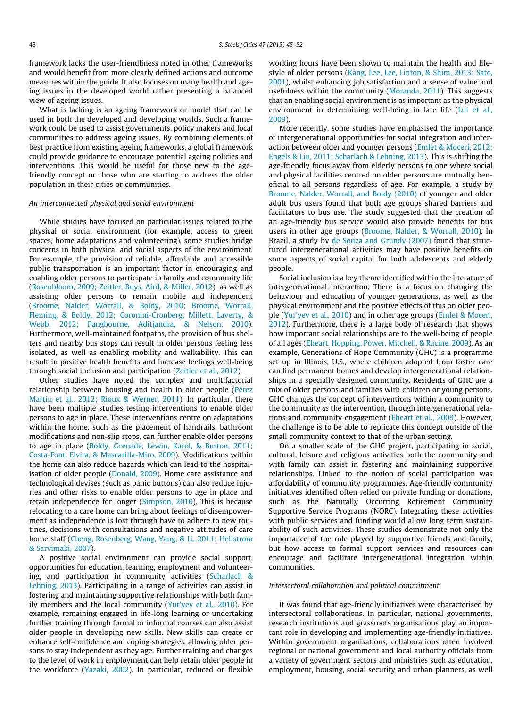framework lacks the user-friendliness noted in other frameworks and would benefit from more clearly defined actions and outcome measures within the guide. It also focuses on many health and ageing issues in the developed world rather presenting a balanced view of ageing issues.

What is lacking is an ageing framework or model that can be used in both the developed and developing worlds. Such a framework could be used to assist governments, policy makers and local communities to address ageing issues. By combining elements of best practice from existing ageing frameworks, a global framework could provide guidance to encourage potential ageing policies and interventions. This would be useful for those new to the agefriendly concept or those who are starting to address the older population in their cities or communities.

#### An interconnected physical and social environment

While studies have focused on particular issues related to the physical or social environment (for example, access to green spaces, home adaptations and volunteering), some studies bridge concerns in both physical and social aspects of the environment. For example, the provision of reliable, affordable and accessible public transportation is an important factor in encouraging and enabling older persons to participate in family and community life ([Rosenbloom, 2009; Zeitler, Buys, Aird, & Miller, 2012\)](#page-7-0), as well as assisting older persons to remain mobile and independent ([Broome, Nalder, Worrall, & Boldy, 2010; Broome, Worrall,](#page-6-0) [Fleming, & Boldy, 2012; Coronini-Cronberg, Millett, Laverty, &](#page-6-0) [Webb, 2012; Pangbourne, Aditjandra, & Nelson, 2010\)](#page-6-0). Furthermore, well-maintained footpaths, the provision of bus shelters and nearby bus stops can result in older persons feeling less isolated, as well as enabling mobility and walkability. This can result in positive health benefits and increase feelings well-being through social inclusion and participation ([Zeitler et al., 2012\)](#page-7-0).

Other studies have noted the complex and multifactorial relationship between housing and health in older people [\(Pérez](#page-7-0) [Martín et al., 2012; Rioux & Werner, 2011](#page-7-0)). In particular, there have been multiple studies testing interventions to enable older persons to age in place. These interventions centre on adaptations within the home, such as the placement of handrails, bathroom modifications and non-slip steps, can further enable older persons to age in place [\(Boldy, Grenade, Lewin, Karol, & Burton, 2011;](#page-6-0) [Costa-Font, Elvira, & Mascarilla-Miro, 2009\)](#page-6-0). Modifications within the home can also reduce hazards which can lead to the hospitalisation of older people [\(Donald, 2009](#page-6-0)). Home care assistance and technological devises (such as panic buttons) can also reduce injuries and other risks to enable older persons to age in place and retain independence for longer ([Simpson, 2010](#page-7-0)). This is because relocating to a care home can bring about feelings of disempowerment as independence is lost through have to adhere to new routines, decisions with consultations and negative attitudes of care home staff [\(Cheng, Rosenberg, Wang, Yang, & Li, 2011; Hellstrom](#page-6-0) [& Sarvimaki, 2007\)](#page-6-0).

A positive social environment can provide social support, opportunities for education, learning, employment and volunteering, and participation in community activities [\(Scharlach &](#page-7-0) [Lehning, 2013\)](#page-7-0). Participating in a range of activities can assist in fostering and maintaining supportive relationships with both family members and the local community [\(Yur'yev et al., 2010](#page-7-0)). For example, remaining engaged in life-long learning or undertaking further training through formal or informal courses can also assist older people in developing new skills. New skills can create or enhance self-confidence and coping strategies, allowing older persons to stay independent as they age. Further training and changes to the level of work in employment can help retain older people in the workforce ([Yazaki, 2002\)](#page-7-0). In particular, reduced or flexible

working hours have been shown to maintain the health and lifestyle of older persons [\(Kang, Lee, Lee, Linton, & Shim, 2013; Sato,](#page-6-0) [2001\)](#page-6-0), whilst enhancing job satisfaction and a sense of value and usefulness within the community ([Moranda, 2011](#page-7-0)). This suggests that an enabling social environment is as important as the physical environment in determining well-being in late life ([Lui et al.,](#page-6-0) [2009\)](#page-6-0).

More recently, some studies have emphasised the importance of intergenerational opportunities for social integration and interaction between older and younger persons [\(Emlet & Moceri, 2012;](#page-6-0) [Engels & Liu, 2011; Scharlach & Lehning, 2013\)](#page-6-0). This is shifting the age-friendly focus away from elderly persons to one where social and physical facilities centred on older persons are mutually beneficial to all persons regardless of age. For example, a study by [Broome, Nalder, Worrall, and Boldy \(2010\)](#page-6-0) of younger and older adult bus users found that both age groups shared barriers and facilitators to bus use. The study suggested that the creation of an age-friendly bus service would also provide benefits for bus users in other age groups ([Broome, Nalder, & Worrall, 2010\)](#page-6-0). In Brazil, a study by [de Souza and Grundy \(2007\)](#page-6-0) found that structured intergenerational activities may have positive benefits on some aspects of social capital for both adolescents and elderly people.

Social inclusion is a key theme identified within the literature of intergenerational interaction. There is a focus on changing the behaviour and education of younger generations, as well as the physical environment and the positive effects of this on older people ([Yur'yev et al., 2010](#page-7-0)) and in other age groups [\(Emlet & Moceri,](#page-6-0) [2012\)](#page-6-0). Furthermore, there is a large body of research that shows how important social relationships are to the well-being of people of all ages ([Eheart, Hopping, Power, Mitchell, & Racine, 2009\)](#page-6-0). As an example, Generations of Hope Community (GHC) is a programme set up in Illinois, U.S., where children adopted from foster care can find permanent homes and develop intergenerational relationships in a specially designed community. Residents of GHC are a mix of older persons and families with children or young persons. GHC changes the concept of interventions within a community to the community as the intervention, through intergenerational relations and community engagement [\(Eheart et al., 2009](#page-6-0)). However, the challenge is to be able to replicate this concept outside of the small community context to that of the urban setting.

On a smaller scale of the GHC project, participating in social, cultural, leisure and religious activities both the community and with family can assist in fostering and maintaining supportive relationships. Linked to the notion of social participation was affordability of community programmes. Age-friendly community initiatives identified often relied on private funding or donations, such as the Naturally Occurring Retirement Community Supportive Service Programs (NORC). Integrating these activities with public services and funding would allow long term sustainability of such activities. These studies demonstrate not only the importance of the role played by supportive friends and family, but how access to formal support services and resources can encourage and facilitate intergenerational integration within communities.

#### Intersectoral collaboration and political commitment

It was found that age-friendly initiatives were characterised by intersectoral collaborations. In particular, national governments, research institutions and grassroots organisations play an important role in developing and implementing age-friendly initiatives. Within government organisations, collaborations often involved regional or national government and local authority officials from a variety of government sectors and ministries such as education, employment, housing, social security and urban planners, as well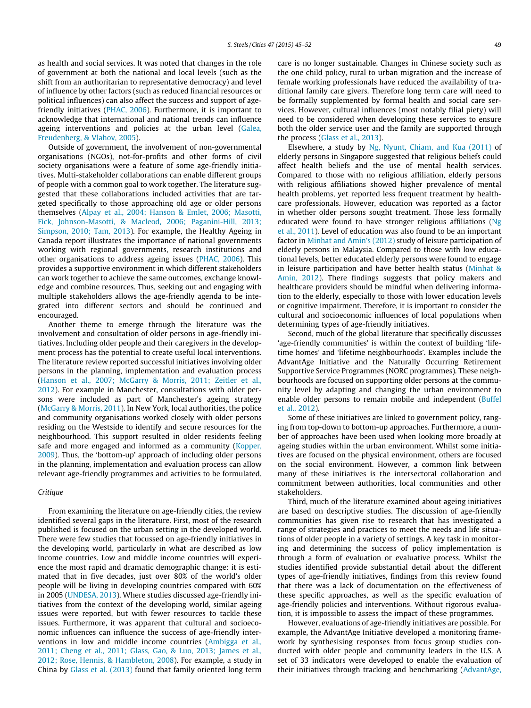as health and social services. It was noted that changes in the role of government at both the national and local levels (such as the shift from an authoritarian to representative democracy) and level of influence by other factors (such as reduced financial resources or political influences) can also affect the success and support of agefriendly initiatives [\(PHAC, 2006\)](#page-7-0). Furthermore, it is important to acknowledge that international and national trends can influence ageing interventions and policies at the urban level ([Galea,](#page-6-0) [Freudenberg, & Vlahov, 2005](#page-6-0)).

Outside of government, the involvement of non-governmental organisations (NGOs), not-for-profits and other forms of civil society organisations were a feature of some age-friendly initiatives. Multi-stakeholder collaborations can enable different groups of people with a common goal to work together. The literature suggested that these collaborations included activities that are targeted specifically to those approaching old age or older persons themselves ([Alpay et al., 2004; Hanson & Emlet, 2006; Masotti,](#page-6-0) [Fick, Johnson-Masotti, & Macleod, 2006; Paganini-Hill, 2013;](#page-6-0) [Simpson, 2010; Tam, 2013](#page-6-0)). For example, the Healthy Ageing in Canada report illustrates the importance of national governments working with regional governments, research institutions and other organisations to address ageing issues [\(PHAC, 2006](#page-7-0)). This provides a supportive environment in which different stakeholders can work together to achieve the same outcomes, exchange knowledge and combine resources. Thus, seeking out and engaging with multiple stakeholders allows the age-friendly agenda to be integrated into different sectors and should be continued and encouraged.

Another theme to emerge through the literature was the involvement and consultation of older persons in age-friendly initiatives. Including older people and their caregivers in the development process has the potential to create useful local interventions. The literature review reported successful initiatives involving older persons in the planning, implementation and evaluation process ([Hanson et al., 2007; McGarry & Morris, 2011; Zeitler et al.,](#page-6-0) [2012\)](#page-6-0). For example in Manchester, consultations with older persons were included as part of Manchester's ageing strategy ([McGarry & Morris, 2011\)](#page-6-0). In New York, local authorities, the police and community organisations worked closely with older persons residing on the Westside to identify and secure resources for the neighbourhood. This support resulted in older residents feeling safe and more engaged and informed as a community ([Kopper,](#page-6-0) [2009](#page-6-0)). Thus, the 'bottom-up' approach of including older persons in the planning, implementation and evaluation process can allow relevant age-friendly programmes and activities to be formulated.

#### Critique

From examining the literature on age-friendly cities, the review identified several gaps in the literature. First, most of the research published is focused on the urban setting in the developed world. There were few studies that focussed on age-friendly initiatives in the developing world, particularly in what are described as low income countries. Low and middle income countries will experience the most rapid and dramatic demographic change: it is estimated that in five decades, just over 80% of the world's older people will be living in developing countries compared with 60% in 2005 [\(UNDESA, 2013\)](#page-7-0). Where studies discussed age-friendly initiatives from the context of the developing world, similar ageing issues were reported, but with fewer resources to tackle these issues. Furthermore, it was apparent that cultural and socioeconomic influences can influence the success of age-friendly interventions in low and middle income countries ([Ambigga et al.,](#page-6-0) [2011; Cheng et al., 2011; Glass, Gao, & Luo, 2013; James et al.,](#page-6-0) [2012; Rose, Hennis, & Hambleton, 2008](#page-6-0)). For example, a study in China by [Glass et al. \(2013\)](#page-6-0) found that family oriented long term care is no longer sustainable. Changes in Chinese society such as the one child policy, rural to urban migration and the increase of female working professionals have reduced the availability of traditional family care givers. Therefore long term care will need to be formally supplemented by formal health and social care services. However, cultural influences (most notably filial piety) will need to be considered when developing these services to ensure both the older service user and the family are supported through the process [\(Glass et al., 2013](#page-6-0)).

Elsewhere, a study by [Ng, Nyunt, Chiam, and Kua \(2011\)](#page-7-0) of elderly persons in Singapore suggested that religious beliefs could affect health beliefs and the use of mental health services. Compared to those with no religious affiliation, elderly persons with religious affiliations showed higher prevalence of mental health problems, yet reported less frequent treatment by healthcare professionals. However, education was reported as a factor in whether older persons sought treatment. Those less formally educated were found to have stronger religious affiliations [\(Ng](#page-7-0) [et al., 2011](#page-7-0)). Level of education was also found to be an important factor in [Minhat and Amin's \(2012\)](#page-6-0) study of leisure participation of elderly persons in Malaysia. Compared to those with low educational levels, better educated elderly persons were found to engage in leisure participation and have better health status ([Minhat &](#page-6-0) [Amin, 2012\)](#page-6-0). There findings suggests that policy makers and healthcare providers should be mindful when delivering information to the elderly, especially to those with lower education levels or cognitive impairment. Therefore, it is important to consider the cultural and socioeconomic influences of local populations when determining types of age-friendly initiatives.

Second, much of the global literature that specifically discusses 'age-friendly communities' is within the context of building 'lifetime homes' and 'lifetime neighbourhoods'. Examples include the AdvantAge Initiative and the Naturally Occurring Retirement Supportive Service Programmes (NORC programmes). These neighbourhoods are focused on supporting older persons at the community level by adapting and changing the urban environment to enable older persons to remain mobile and independent ([Buffel](#page-6-0) [et al., 2012\)](#page-6-0).

Some of these initiatives are linked to government policy, ranging from top-down to bottom-up approaches. Furthermore, a number of approaches have been used when looking more broadly at ageing studies within the urban environment. Whilst some initiatives are focused on the physical environment, others are focused on the social environment. However, a common link between many of these initiatives is the intersectoral collaboration and commitment between authorities, local communities and other stakeholders.

Third, much of the literature examined about ageing initiatives are based on descriptive studies. The discussion of age-friendly communities has given rise to research that has investigated a range of strategies and practices to meet the needs and life situations of older people in a variety of settings. A key task in monitoring and determining the success of policy implementation is through a form of evaluation or evaluative process. Whilst the studies identified provide substantial detail about the different types of age-friendly initiatives, findings from this review found that there was a lack of documentation on the effectiveness of these specific approaches, as well as the specific evaluation of age-friendly policies and interventions. Without rigorous evaluation, it is impossible to assess the impact of these programmes.

However, evaluations of age-friendly initiatives are possible. For example, the AdvantAge Initiative developed a monitoring framework by synthesising responses from focus group studies conducted with older people and community leaders in the U.S. A set of 33 indicators were developed to enable the evaluation of their initiatives through tracking and benchmarking ([AdvantAge,](#page-6-0)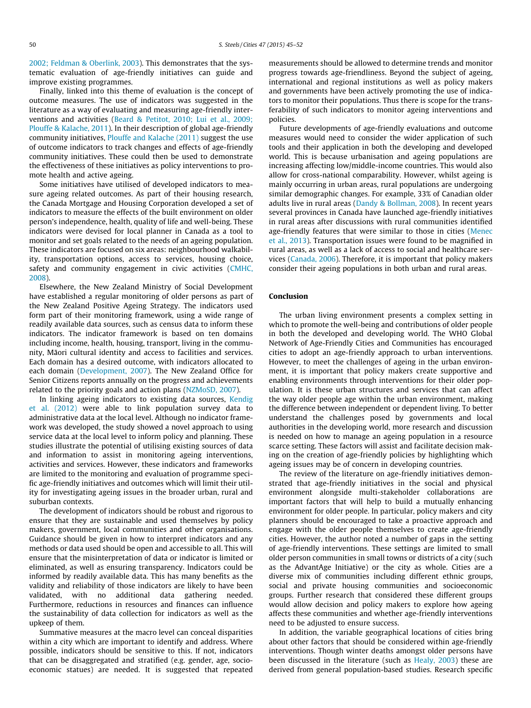[2002; Feldman & Oberlink, 2003](#page-6-0)). This demonstrates that the systematic evaluation of age-friendly initiatives can guide and improve existing programmes.

Finally, linked into this theme of evaluation is the concept of outcome measures. The use of indicators was suggested in the literature as a way of evaluating and measuring age-friendly interventions and activities [\(Beard & Petitot, 2010; Lui et al., 2009;](#page-6-0) [Plouffe & Kalache, 2011\)](#page-6-0). In their description of global age-friendly community initiatives, [Plouffe and Kalache \(2011\)](#page-7-0) suggest the use of outcome indicators to track changes and effects of age-friendly community initiatives. These could then be used to demonstrate the effectiveness of these initiatives as policy interventions to promote health and active ageing.

Some initiatives have utilised of developed indicators to measure ageing related outcomes. As part of their housing research, the Canada Mortgage and Housing Corporation developed a set of indicators to measure the effects of the built environment on older person's independence, health, quality of life and well-being. These indicators were devised for local planner in Canada as a tool to monitor and set goals related to the needs of an ageing population. These indicators are focused on six areas: neighbourhood walkability, transportation options, access to services, housing choice, safety and community engagement in civic activities [\(CMHC,](#page-6-0) [2008\)](#page-6-0).

Elsewhere, the New Zealand Ministry of Social Development have established a regular monitoring of older persons as part of the New Zealand Positive Ageing Strategy. The indicators used form part of their monitoring framework, using a wide range of readily available data sources, such as census data to inform these indicators. The indicator framework is based on ten domains including income, health, housing, transport, living in the community, Māori cultural identity and access to facilities and services. Each domain has a desired outcome, with indicators allocated to each domain ([Development, 2007](#page-6-0)). The New Zealand Office for Senior Citizens reports annually on the progress and achievements related to the priority goals and action plans ([NZMoSD, 2007](#page-7-0)).

In linking ageing indicators to existing data sources, [Kendig](#page-6-0) [et al. \(2012\)](#page-6-0) were able to link population survey data to administrative data at the local level. Although no indicator framework was developed, the study showed a novel approach to using service data at the local level to inform policy and planning. These studies illustrate the potential of utilising existing sources of data and information to assist in monitoring ageing interventions, activities and services. However, these indicators and frameworks are limited to the monitoring and evaluation of programme specific age-friendly initiatives and outcomes which will limit their utility for investigating ageing issues in the broader urban, rural and suburban contexts.

The development of indicators should be robust and rigorous to ensure that they are sustainable and used themselves by policy makers, government, local communities and other organisations. Guidance should be given in how to interpret indicators and any methods or data used should be open and accessible to all. This will ensure that the misinterpretation of data or indicator is limited or eliminated, as well as ensuring transparency. Indicators could be informed by readily available data. This has many benefits as the validity and reliability of those indicators are likely to have been validated, with no additional data gathering needed. Furthermore, reductions in resources and finances can influence the sustainability of data collection for indicators as well as the upkeep of them.

Summative measures at the macro level can conceal disparities within a city which are important to identify and address. Where possible, indicators should be sensitive to this. If not, indicators that can be disaggregated and stratified (e.g. gender, age, socioeconomic statues) are needed. It is suggested that repeated measurements should be allowed to determine trends and monitor progress towards age-friendliness. Beyond the subject of ageing, international and regional institutions as well as policy makers and governments have been actively promoting the use of indicators to monitor their populations. Thus there is scope for the transferability of such indicators to monitor ageing interventions and policies.

Future developments of age-friendly evaluations and outcome measures would need to consider the wider application of such tools and their application in both the developing and developed world. This is because urbanisation and ageing populations are increasing affecting low/middle-income countries. This would also allow for cross-national comparability. However, whilst ageing is mainly occurring in urban areas, rural populations are undergoing similar demographic changes. For example, 33% of Canadian older adults live in rural areas ([Dandy & Bollman, 2008](#page-6-0)). In recent years several provinces in Canada have launched age-friendly initiatives in rural areas after discussions with rural communities identified age-friendly features that were similar to those in cities ([Menec](#page-6-0) [et al., 2013](#page-6-0)). Transportation issues were found to be magnified in rural areas, as well as a lack of access to social and healthcare services ([Canada, 2006\)](#page-6-0). Therefore, it is important that policy makers consider their ageing populations in both urban and rural areas.

# Conclusion

The urban living environment presents a complex setting in which to promote the well-being and contributions of older people in both the developed and developing world. The WHO Global Network of Age-Friendly Cities and Communities has encouraged cities to adopt an age-friendly approach to urban interventions. However, to meet the challenges of ageing in the urban environment, it is important that policy makers create supportive and enabling environments through interventions for their older population. It is these urban structures and services that can affect the way older people age within the urban environment, making the difference between independent or dependent living. To better understand the challenges posed by governments and local authorities in the developing world, more research and discussion is needed on how to manage an ageing population in a resource scarce setting. These factors will assist and facilitate decision making on the creation of age-friendly policies by highlighting which ageing issues may be of concern in developing countries.

The review of the literature on age-friendly initiatives demonstrated that age-friendly initiatives in the social and physical environment alongside multi-stakeholder collaborations are important factors that will help to build a mutually enhancing environment for older people. In particular, policy makers and city planners should be encouraged to take a proactive approach and engage with the older people themselves to create age-friendly cities. However, the author noted a number of gaps in the setting of age-friendly interventions. These settings are limited to small older person communities in small towns or districts of a city (such as the AdvantAge Initiative) or the city as whole. Cities are a diverse mix of communities including different ethnic groups, social and private housing communities and socioeconomic groups. Further research that considered these different groups would allow decision and policy makers to explore how ageing affects these communities and whether age-friendly interventions need to be adjusted to ensure success.

In addition, the variable geographical locations of cities bring about other factors that should be considered within age-friendly interventions. Though winter deaths amongst older persons have been discussed in the literature (such as [Healy, 2003\)](#page-6-0) these are derived from general population-based studies. Research specific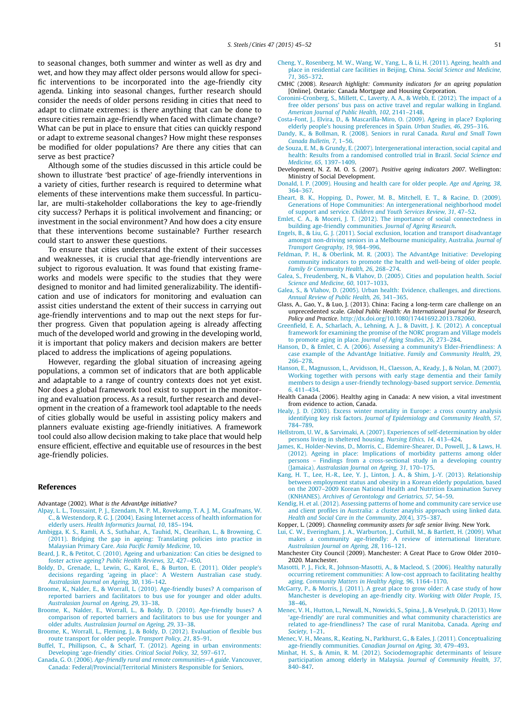<span id="page-6-0"></span>to seasonal changes, both summer and winter as well as dry and wet, and how they may affect older persons would allow for specific interventions to be incorporated into the age-friendly city agenda. Linking into seasonal changes, further research should consider the needs of older persons residing in cities that need to adapt to climate extremes: is there anything that can be done to ensure cities remain age-friendly when faced with climate change? What can be put in place to ensure that cities can quickly respond or adapt to extreme seasonal changes? How might these responses be modified for older populations? Are there any cities that can serve as best practice?

Although some of the studies discussed in this article could be shown to illustrate 'best practice' of age-friendly interventions in a variety of cities, further research is required to determine what elements of these interventions make them successful. In particular, are multi-stakeholder collaborations the key to age-friendly city success? Perhaps it is political involvement and financing; or investment in the social environment? And how does a city ensure that these interventions become sustainable? Further research could start to answer these questions.

To ensure that cities understand the extent of their successes and weaknesses, it is crucial that age-friendly interventions are subject to rigorous evaluation. It was found that existing frameworks and models were specific to the studies that they were designed to monitor and had limited generalizability. The identification and use of indicators for monitoring and evaluation can assist cities understand the extent of their success in carrying out age-friendly interventions and to map out the next steps for further progress. Given that population ageing is already affecting much of the developed world and growing in the developing world, it is important that policy makers and decision makers are better placed to address the implications of ageing populations.

However, regarding the global situation of increasing ageing populations, a common set of indicators that are both applicable and adaptable to a range of country contexts does not yet exist. Nor does a global framework tool exist to support in the monitoring and evaluation process. As a result, further research and development in the creation of a framework tool adaptable to the needs of cities globally would be useful in assisting policy makers and planners evaluate existing age-friendly initiatives. A framework tool could also allow decision making to take place that would help ensure efficient, effective and equitable use of resources in the best age-friendly policies.

#### References

Advantage (2002). What is the AdvantAge initiative?

- [Alpay, L. L., Toussaint, P. J., Ezendam, N. P. M., Rovekamp, T. A. J. M., Graafmans, W.](http://refhub.elsevier.com/S0264-2751(15)00019-0/h0010) [C., & Westendorp, R. G. J. \(2004\). Easing Internet access of health information for](http://refhub.elsevier.com/S0264-2751(15)00019-0/h0010) elderly users. [Health Informatics Journal, 10](http://refhub.elsevier.com/S0264-2751(15)00019-0/h0010), 185–194.
- [Ambigga, K. S., Ramli, A. S., Suthahar, A., Tauhid, N., Clearihan, L., & Browning, C.](http://refhub.elsevier.com/S0264-2751(15)00019-0/h0015) [\(2011\). Bridging the gap in ageing: Translating policies into practice in](http://refhub.elsevier.com/S0264-2751(15)00019-0/h0015) Malaysian Primary Care. [Asia Pacific Family Medicine](http://refhub.elsevier.com/S0264-2751(15)00019-0/h0015), 10.
- [Beard, J. R., & Petitot, C. \(2010\). Ageing and urbanization: Can cities be designed to](http://refhub.elsevier.com/S0264-2751(15)00019-0/h0020) foster active ageing? [Public Health Reviews, 32](http://refhub.elsevier.com/S0264-2751(15)00019-0/h0020), 427–450.
- [Boldy, D., Grenade, L., Lewin, G., Karol, E., & Burton, E. \(2011\). Older people's](http://refhub.elsevier.com/S0264-2751(15)00019-0/h0025) [decisions regarding 'ageing in place': A Western Australian case study.](http://refhub.elsevier.com/S0264-2751(15)00019-0/h0025) [Australasian Journal on Ageing, 30](http://refhub.elsevier.com/S0264-2751(15)00019-0/h0025), 136–142.
- [Broome, K., Nalder, E., & Worrall, L. \(2010\). Age-friendly buses? A comparison of](http://refhub.elsevier.com/S0264-2751(15)00019-0/h0030) [reported barriers and facilitators to bus use for younger and older adults.](http://refhub.elsevier.com/S0264-2751(15)00019-0/h0030) [Australasian Journal on Ageing, 29](http://refhub.elsevier.com/S0264-2751(15)00019-0/h0030), 33–38.
- [Broome, K., Nalder, E., Worrall, L., & Boldy, D. \(2010\). Age-friendly buses? A](http://refhub.elsevier.com/S0264-2751(15)00019-0/h0035) [comparison of reported barriers and facilitators to bus use for younger and](http://refhub.elsevier.com/S0264-2751(15)00019-0/h0035) older adults. [Australasian Journal on Ageing, 29](http://refhub.elsevier.com/S0264-2751(15)00019-0/h0035), 33–38.
- [Broome, K., Worrall, L., Fleming, J., & Boldy, D. \(2012\). Evaluation of flexible bus](http://refhub.elsevier.com/S0264-2751(15)00019-0/h0040) [route transport for older people.](http://refhub.elsevier.com/S0264-2751(15)00019-0/h0040) Transport Policy, 21, 85–91.
- [Buffel, T., Phillipson, C., & Scharf, T. \(2012\). Ageing in urban environments:](http://refhub.elsevier.com/S0264-2751(15)00019-0/h0045) [Developing 'age-friendly' cities.](http://refhub.elsevier.com/S0264-2751(15)00019-0/h0045) Critical Social Policy, 32, 597–617.
- Canada, G. O. (2006). [Age-friendly rural and remote communities—A guide](http://refhub.elsevier.com/S0264-2751(15)00019-0/h0050). Vancouver, [Canada: Federal/Provincial/Territorial Ministers Responsible for Seniors.](http://refhub.elsevier.com/S0264-2751(15)00019-0/h0050)
- [Cheng, Y., Rosenberg, M. W., Wang, W., Yang, L., & Li, H. \(2011\). Ageing, health and](http://refhub.elsevier.com/S0264-2751(15)00019-0/h0055) [place in residential care facilities in Beijing, China.](http://refhub.elsevier.com/S0264-2751(15)00019-0/h0055) Social Science and Medicine, 71[, 365–372](http://refhub.elsevier.com/S0264-2751(15)00019-0/h0055).
- CMHC (2008). Research highlight: Community indicators for an ageing population [Online]. Ontario: Canada Mortgage and Housing Corporation.
- [Coronini-Cronberg, S., Millett, C., Laverty, A. A., & Webb, E. \(2012\). The impact of a](http://refhub.elsevier.com/S0264-2751(15)00019-0/h0065) [free older persons' bus pass on active travel and regular walking in England.](http://refhub.elsevier.com/S0264-2751(15)00019-0/h0065) [American Journal of Public Health, 102](http://refhub.elsevier.com/S0264-2751(15)00019-0/h0065), 2141–2148.
- [Costa-Font, J., Elvira, D., & Mascarilla-Miro, O. \(2009\). Ageing in place? Exploring](http://refhub.elsevier.com/S0264-2751(15)00019-0/h0070) [elderly people's housing preferences in Spain.](http://refhub.elsevier.com/S0264-2751(15)00019-0/h0070) Urban Studies, 46, 295–316.
- [Dandy, K., & Bollman, R. \(2008\). Seniors in rural Canada.](http://refhub.elsevier.com/S0264-2751(15)00019-0/h0075) Rural and Small Town [Canada Bulletin, 7](http://refhub.elsevier.com/S0264-2751(15)00019-0/h0075), 1–56.
- [de Souza, E. M., & Grundy, E. \(2007\). Intergenerational interaction, social capital and](http://refhub.elsevier.com/S0264-2751(15)00019-0/h0080) [health: Results from a randomised controlled trial in Brazil.](http://refhub.elsevier.com/S0264-2751(15)00019-0/h0080) Social Science and Medicine, 65[, 1397–1409](http://refhub.elsevier.com/S0264-2751(15)00019-0/h0080).
- Development, N. Z. M. O. S. (2007). Positive ageing indicators 2007. Wellington: Ministry of Social Development.
- [Donald, I. P. \(2009\). Housing and health care for older people.](http://refhub.elsevier.com/S0264-2751(15)00019-0/h0090) Age and Ageing, 38, [364–367](http://refhub.elsevier.com/S0264-2751(15)00019-0/h0090).
- [Eheart, B. K., Hopping, D., Power, M. B., Mitchell, E. T., & Racine, D. \(2009\).](http://refhub.elsevier.com/S0264-2751(15)00019-0/h0095) [Generations of Hope Communities: An intergenerational neighborhood model](http://refhub.elsevier.com/S0264-2751(15)00019-0/h0095) of support and service. [Children and Youth Services Review, 31](http://refhub.elsevier.com/S0264-2751(15)00019-0/h0095), 47–52.
- [Emlet, C. A., & Moceri, J. T. \(2012\). The importance of social connectedness in](http://refhub.elsevier.com/S0264-2751(15)00019-0/h0100) [building age-friendly communities.](http://refhub.elsevier.com/S0264-2751(15)00019-0/h0100) Journal of Ageing Research.
- [Engels, B., & Liu, G. J. \(2011\). Social exclusion, location and transport disadvantage](http://refhub.elsevier.com/S0264-2751(15)00019-0/h0105) [amongst non-driving seniors in a Melbourne municipality, Australia.](http://refhub.elsevier.com/S0264-2751(15)00019-0/h0105) Journal of [Transport Geography, 19](http://refhub.elsevier.com/S0264-2751(15)00019-0/h0105), 984–996.
- [Feldman, P. H., & Oberlink, M. R. \(2003\). The AdvantAge Initiative: Developing](http://refhub.elsevier.com/S0264-2751(15)00019-0/h0110) [community indicators to promote the health and well-being of older people.](http://refhub.elsevier.com/S0264-2751(15)00019-0/h0110) [Family & Community Health, 26](http://refhub.elsevier.com/S0264-2751(15)00019-0/h0110), 268–274.
- [Galea, S., Freudenberg, N., & Vlahov, D. \(2005\). Cities and population health.](http://refhub.elsevier.com/S0264-2751(15)00019-0/h0115) Social [Science and Medicine, 60](http://refhub.elsevier.com/S0264-2751(15)00019-0/h0115), 1017–1033.
- [Galea, S., & Vlahov, D. \(2005\). Urban health: Evidence, challenges, and directions.](http://refhub.elsevier.com/S0264-2751(15)00019-0/h0120) [Annual Review of Public Health, 26](http://refhub.elsevier.com/S0264-2751(15)00019-0/h0120), 341–365.
- Glass, A., Gao, Y., & Luo, J. (2013). China: Facing a long-term care challenge on an unprecedented scale. Global Public Health: An International Journal for Research, Policy and Practice. <http://dx.doi.org/10.1080/17441692.2013.782060>.
- [Greenfield, E. A., Scharlach, A., Lehning, A. J., & Davitt, J. K. \(2012\). A conceptual](http://refhub.elsevier.com/S0264-2751(15)00019-0/h0130) [framework for examining the promise of the NORC program and Village models](http://refhub.elsevier.com/S0264-2751(15)00019-0/h0130) to promote aging in place. [Journal of Aging Studies, 26](http://refhub.elsevier.com/S0264-2751(15)00019-0/h0130), 273–284.
- [Hanson, D., & Emlet, C. A. \(2006\). Assessing a community's Elder-Friendliness: A](http://refhub.elsevier.com/S0264-2751(15)00019-0/h0135) [case example of the AdvantAge Initiative.](http://refhub.elsevier.com/S0264-2751(15)00019-0/h0135) Family and Community Health, 29, [266–278](http://refhub.elsevier.com/S0264-2751(15)00019-0/h0135).
- [Hanson, E., Magnusson, L., Arvidsson, H., Claesson, A., Keady, J., & Nolan, M. \(2007\).](http://refhub.elsevier.com/S0264-2751(15)00019-0/h0140) [Working together with persons with early stage dementia and their family](http://refhub.elsevier.com/S0264-2751(15)00019-0/h0140) [members to design a user-friendly technology-based support service.](http://refhub.elsevier.com/S0264-2751(15)00019-0/h0140) Dementia, 6[, 411–434](http://refhub.elsevier.com/S0264-2751(15)00019-0/h0140).
- Health Canada (2006). Healthy aging in Canada: A new vision, a vital investment from evidence to action, Canada.
- [Healy, J. D. \(2003\). Excess winter mortality in Europe: a cross country analysis](http://refhub.elsevier.com/S0264-2751(15)00019-0/h9005) identifying key risk factors. [Journal of Epidemiology and Community Health, 57](http://refhub.elsevier.com/S0264-2751(15)00019-0/h9005), [784–789](http://refhub.elsevier.com/S0264-2751(15)00019-0/h9005).
- [Hellstrom, U. W., & Sarvimaki, A. \(2007\). Experiences of self-determination by older](http://refhub.elsevier.com/S0264-2751(15)00019-0/h0145)
- [persons living in sheltered housing.](http://refhub.elsevier.com/S0264-2751(15)00019-0/h0145) Nursing Ethics, 14, 413–424. [James, K., Holder-Nevins, D., Morris, C., Eldemire-Shearer, D., Powell, J., & Laws, H.](http://refhub.elsevier.com/S0264-2751(15)00019-0/h0150) [\(2012\). Ageing in place: Implications of morbidity patterns among older](http://refhub.elsevier.com/S0264-2751(15)00019-0/h0150) [persons – Findings from a cross-sectional study in a developing country](http://refhub.elsevier.com/S0264-2751(15)00019-0/h0150) (Jamaica). [Australasian Journal on Ageing, 31](http://refhub.elsevier.com/S0264-2751(15)00019-0/h0150), 170–175.
- [Kang, H. T., Lee, H.-R., Lee, Y. J., Linton, J. A., & Shim, J.-Y. \(2013\). Relationship](http://refhub.elsevier.com/S0264-2751(15)00019-0/h0155) [between employment status and obesity in a Korean elderly population, based](http://refhub.elsevier.com/S0264-2751(15)00019-0/h0155) [on the 2007–2009 Korean National Health and Nutrition Examination Survey](http://refhub.elsevier.com/S0264-2751(15)00019-0/h0155) (KNHANES). [Archives of Gerontology and Geriatrics, 57](http://refhub.elsevier.com/S0264-2751(15)00019-0/h0155), 54–59.
- [Kendig, H. et al. \(2012\). Assessing patterns of home and community care service use](http://refhub.elsevier.com/S0264-2751(15)00019-0/h9010) [and client profiles in Australia: a cluster anaylsis approach using linked data.](http://refhub.elsevier.com/S0264-2751(15)00019-0/h9010) [Health and Social Care in the Community, 20](http://refhub.elsevier.com/S0264-2751(15)00019-0/h9010)(4), 375–387.
- Kopper, L. (2009). Channeling community assets for safe senior living. New York.
- [Lui, C. W., Everingham, J. A., Warburton, J., Cuthill, M., & Bartlett, H. \(2009\). What](http://refhub.elsevier.com/S0264-2751(15)00019-0/h0165) [makes a community age-friendly: A review of international literature.](http://refhub.elsevier.com/S0264-2751(15)00019-0/h0165) [Australasian Journal on Ageing, 28](http://refhub.elsevier.com/S0264-2751(15)00019-0/h0165), 116–121.
- Manchester City Council (2009). Manchester: A Great Place to Grow Older 2010– 2020. Manchester.
- [Masotti, P. J., Fick, R., Johnson-Masotti, A., & Macleod, S. \(2006\). Healthy naturally](http://refhub.elsevier.com/S0264-2751(15)00019-0/h0170) [occurring retirement communities: A low-cost approach to facilitating healthy](http://refhub.elsevier.com/S0264-2751(15)00019-0/h0170) aging. [Community Matters in Healthy Aging, 96](http://refhub.elsevier.com/S0264-2751(15)00019-0/h0170), 1164–1170.
- [McGarry, P., & Morris, J. \(2011\). A great place to grow older: A case study of how](http://refhub.elsevier.com/S0264-2751(15)00019-0/h0175) [Manchester is developing an age-friendly city.](http://refhub.elsevier.com/S0264-2751(15)00019-0/h0175) Working with Older People, 15, [38–46.](http://refhub.elsevier.com/S0264-2751(15)00019-0/h0175)
- [Menec, V. H., Hutton, L., Newall, N., Nowicki, S., Spina, J., & Veselyuk, D. \(2013\). How](http://refhub.elsevier.com/S0264-2751(15)00019-0/h0180) ['age-friendly' are rural communities and what community characteristics are](http://refhub.elsevier.com/S0264-2751(15)00019-0/h0180) [related to age-friendliness? The case of rural Manitoba, Canada.](http://refhub.elsevier.com/S0264-2751(15)00019-0/h0180) Ageing and [Society](http://refhub.elsevier.com/S0264-2751(15)00019-0/h0180), 1–21.
- [Menec, V. H., Means, R., Keating, N., Parkhurst, G., & Eales, J. \(2011\). Conceptualizing](http://refhub.elsevier.com/S0264-2751(15)00019-0/h0185) age-friendly communities. [Canadian Journal on Aging, 30](http://refhub.elsevier.com/S0264-2751(15)00019-0/h0185), 479–493.
- [Minhat, H. S., & Amin, R. M. \(2012\). Sociodemographic determinants of leisure](http://refhub.elsevier.com/S0264-2751(15)00019-0/h0190) [participation among elderly in Malaysia.](http://refhub.elsevier.com/S0264-2751(15)00019-0/h0190) Journal of Community Health, 37, [840–847](http://refhub.elsevier.com/S0264-2751(15)00019-0/h0190).